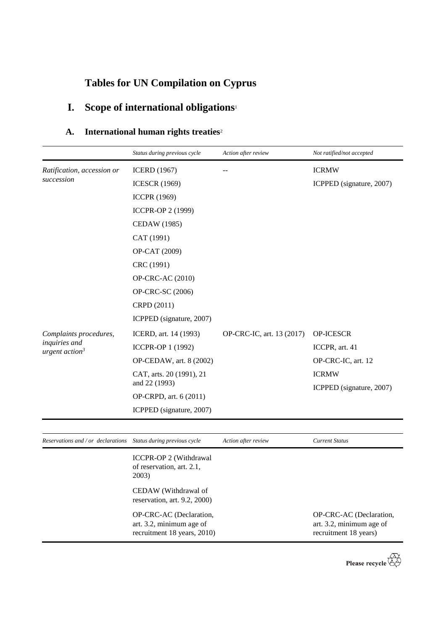# **Tables for UN Compilation on Cyprus**

# **I. Scope of international obligations**<sup>1</sup>

## **A. International human rights treaties**<sup>2</sup>

|                                                                 | Status during previous cycle                                                       | Action after review       | Not ratified/not accepted                                                    |
|-----------------------------------------------------------------|------------------------------------------------------------------------------------|---------------------------|------------------------------------------------------------------------------|
| Ratification, accession or                                      | <b>ICERD</b> (1967)                                                                |                           | <b>ICRMW</b>                                                                 |
| succession                                                      | <b>ICESCR</b> (1969)                                                               |                           | ICPPED (signature, 2007)                                                     |
|                                                                 | <b>ICCPR (1969)</b>                                                                |                           |                                                                              |
|                                                                 | ICCPR-OP 2 (1999)                                                                  |                           |                                                                              |
|                                                                 | <b>CEDAW</b> (1985)                                                                |                           |                                                                              |
|                                                                 | CAT (1991)                                                                         |                           |                                                                              |
|                                                                 | OP-CAT (2009)                                                                      |                           |                                                                              |
|                                                                 | CRC (1991)                                                                         |                           |                                                                              |
|                                                                 | <b>OP-CRC-AC (2010)</b>                                                            |                           |                                                                              |
|                                                                 | OP-CRC-SC (2006)                                                                   |                           |                                                                              |
|                                                                 | CRPD (2011)                                                                        |                           |                                                                              |
|                                                                 | ICPPED (signature, 2007)                                                           |                           |                                                                              |
| Complaints procedures,                                          | ICERD, art. 14 (1993)                                                              | OP-CRC-IC, art. 13 (2017) | OP-ICESCR                                                                    |
| inquiries and<br>urgent action <sup>3</sup>                     | ICCPR-OP 1 (1992)                                                                  |                           | ICCPR, art. 41                                                               |
|                                                                 | OP-CEDAW, art. 8 (2002)                                                            |                           | OP-CRC-IC, art. 12                                                           |
|                                                                 | CAT, arts. 20 (1991), 21<br>and 22 (1993)                                          |                           | <b>ICRMW</b><br>ICPPED (signature, 2007)                                     |
|                                                                 | OP-CRPD, art. 6 (2011)                                                             |                           |                                                                              |
|                                                                 | ICPPED (signature, 2007)                                                           |                           |                                                                              |
|                                                                 |                                                                                    |                           |                                                                              |
| Reservations and / or declarations Status during previous cycle |                                                                                    | Action after review       | <b>Current Status</b>                                                        |
|                                                                 | <b>ICCPR-OP 2 (Withdrawal</b><br>of reservation, art. 2.1,<br>2003)                |                           |                                                                              |
|                                                                 | CEDAW (Withdrawal of<br>reservation, art. 9.2, 2000)                               |                           |                                                                              |
|                                                                 | OP-CRC-AC (Declaration,<br>art. 3.2, minimum age of<br>recruitment 18 years, 2010) |                           | OP-CRC-AC (Declaration,<br>art. 3.2, minimum age of<br>recruitment 18 years) |

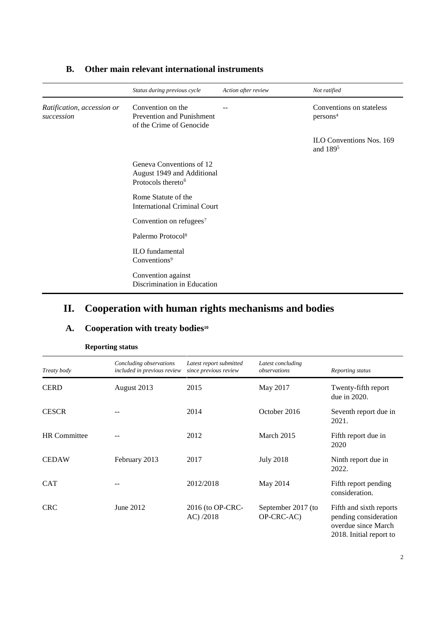|                                          | Status during previous cycle                                                             | Action after review | Not ratified                                            |
|------------------------------------------|------------------------------------------------------------------------------------------|---------------------|---------------------------------------------------------|
| Ratification, accession or<br>succession | Convention on the<br><b>Prevention and Punishment</b><br>of the Crime of Genocide        |                     | Conventions on stateless<br>persons <sup>4</sup>        |
|                                          |                                                                                          |                     | <b>ILO Conventions Nos. 169</b><br>and 189 <sup>5</sup> |
|                                          | Geneva Conventions of 12<br>August 1949 and Additional<br>Protocols thereto <sup>6</sup> |                     |                                                         |
|                                          | Rome Statute of the<br><b>International Criminal Court</b>                               |                     |                                                         |
|                                          | Convention on refugees <sup>7</sup>                                                      |                     |                                                         |
|                                          | Palermo Protocol <sup>8</sup>                                                            |                     |                                                         |
|                                          | <b>ILO</b> fundamental<br>Conventions <sup>9</sup>                                       |                     |                                                         |
|                                          | Convention against<br>Discrimination in Education                                        |                     |                                                         |

### **B. Other main relevant international instruments**

## **II. Cooperation with human rights mechanisms and bodies**

### **A. Cooperation with treaty bodies<sup>10</sup>**

| <b>Reporting status</b> |  |
|-------------------------|--|
|-------------------------|--|

| Treaty body         | Concluding observations<br>included in previous review | Latest report submitted<br>since previous review | Latest concluding<br>observations | Reporting status                                                                                   |
|---------------------|--------------------------------------------------------|--------------------------------------------------|-----------------------------------|----------------------------------------------------------------------------------------------------|
| <b>CERD</b>         | August 2013                                            | 2015                                             | May 2017                          | Twenty-fifth report<br>due in 2020.                                                                |
| <b>CESCR</b>        |                                                        | 2014                                             | October 2016                      | Seventh report due in<br>2021.                                                                     |
| <b>HR</b> Committee |                                                        | 2012                                             | March 2015                        | Fifth report due in<br>2020                                                                        |
| <b>CEDAW</b>        | February 2013                                          | 2017                                             | <b>July 2018</b>                  | Ninth report due in<br>2022.                                                                       |
| <b>CAT</b>          |                                                        | 2012/2018                                        | May 2014                          | Fifth report pending<br>consideration.                                                             |
| <b>CRC</b>          | June 2012                                              | 2016 (to OP-CRC-<br>$AC$ ) $/2018$               | September 2017 (to<br>OP-CRC-AC)  | Fifth and sixth reports<br>pending consideration<br>overdue since March<br>2018. Initial report to |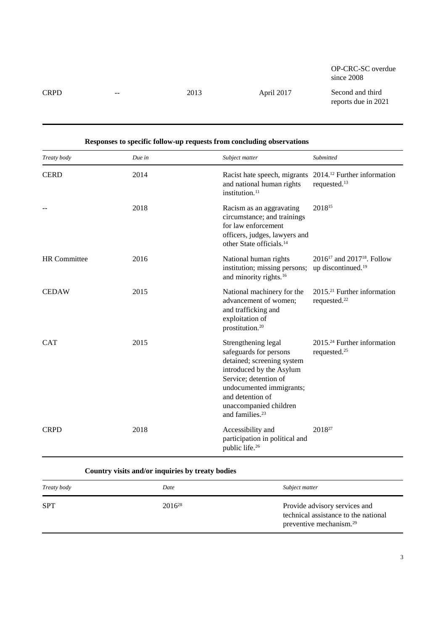OP-CRC-SC overdue since 2008

CRPD -- 2013 April 2017 Second and third reports due in 2021

| Treaty body         | Due in | Subject matter                                                                                                                                                                                                                            | Submitted                                                              |
|---------------------|--------|-------------------------------------------------------------------------------------------------------------------------------------------------------------------------------------------------------------------------------------------|------------------------------------------------------------------------|
| <b>CERD</b>         | 2014   | Racist hate speech, migrants 2014. <sup>12</sup> Further information<br>and national human rights<br>institution. <sup>11</sup>                                                                                                           | requested. <sup>13</sup>                                               |
|                     | 2018   | Racism as an aggravating<br>circumstance; and trainings<br>for law enforcement<br>officers, judges, lawyers and<br>other State officials. <sup>14</sup>                                                                                   | 201815                                                                 |
| <b>HR</b> Committee | 2016   | National human rights<br>institution; missing persons;<br>and minority rights. <sup>16</sup>                                                                                                                                              | $2016^{17}$ and $2017^{18}$ . Follow<br>up discontinued. <sup>19</sup> |
| <b>CEDAW</b>        | 2015   | National machinery for the<br>advancement of women;<br>and trafficking and<br>exploitation of<br>prostitution. <sup>20</sup>                                                                                                              | $2015.^{21}$ Further information<br>requested. <sup>22</sup>           |
| <b>CAT</b>          | 2015   | Strengthening legal<br>safeguards for persons<br>detained; screening system<br>introduced by the Asylum<br>Service; detention of<br>undocumented immigrants;<br>and detention of<br>unaccompanied children<br>and families. <sup>23</sup> | 2015. <sup>24</sup> Further information<br>requested. <sup>25</sup>    |
| <b>CRPD</b>         | 2018   | Accessibility and<br>participation in political and<br>public life. <sup>26</sup>                                                                                                                                                         | 201827                                                                 |

#### **Responses to specific follow-up requests from concluding observations**

**Country visits and/or inquiries by treaty bodies**

| Treaty body | Date        | Subject matter                                                                                               |
|-------------|-------------|--------------------------------------------------------------------------------------------------------------|
| <b>SPT</b>  | $2016^{28}$ | Provide advisory services and<br>technical assistance to the national<br>preventive mechanism. <sup>29</sup> |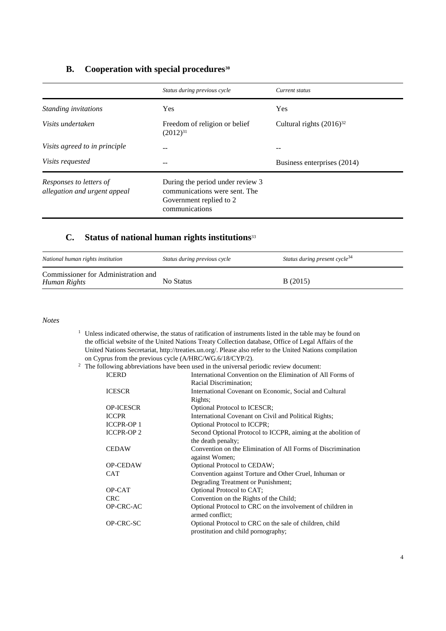### **B. Cooperation with special procedures<sup>30</sup>**

|                                                         | Status during previous cycle                                                                                   | Current status                |
|---------------------------------------------------------|----------------------------------------------------------------------------------------------------------------|-------------------------------|
| Standing invitations                                    | Yes                                                                                                            | Yes                           |
| Visits undertaken                                       | Freedom of religion or belief<br>$(2012)^{31}$                                                                 | Cultural rights $(2016)^{32}$ |
| Visits agreed to in principle                           |                                                                                                                |                               |
| <i>Visits requested</i>                                 |                                                                                                                | Business enterprises (2014)   |
| Responses to letters of<br>allegation and urgent appeal | During the period under review 3<br>communications were sent. The<br>Government replied to 2<br>communications |                               |

#### **C. Status of national human rights institutions**<sup>33</sup>

| National human rights institution                   | Status during previous cycle | Status during present cycle <sup>34</sup> |
|-----------------------------------------------------|------------------------------|-------------------------------------------|
| Commissioner for Administration and<br>Human Rights | No Status                    | B(2015)                                   |

*Notes*

<sup>1</sup> Unless indicated otherwise, the status of ratification of instruments listed in the table may be found on the official website of the United Nations Treaty Collection database, Office of Legal Affairs of the United Nations Secretariat, http://treaties.un.org/. Please also refer to the United Nations compilation on Cyprus from the previous cycle (A/HRC/WG.6/18/CYP/2).

<sup>2</sup> The following abbreviations have been used in the universal periodic review document:<br>ICERD **International Convention** on the Elimination of A If  $\Gamma$  is the conventional Convention of All Forms of

| IU.EKD           | International Convention on the Elimination of All Forms of   |
|------------------|---------------------------------------------------------------|
|                  | Racial Discrimination;                                        |
| <b>ICESCR</b>    | International Covenant on Economic, Social and Cultural       |
|                  | Rights;                                                       |
| <b>OP-ICESCR</b> | Optional Protocol to ICESCR;                                  |
| <b>ICCPR</b>     | International Covenant on Civil and Political Rights;         |
| <b>ICCPR-OP1</b> | Optional Protocol to ICCPR;                                   |
| <b>ICCPR-OP2</b> | Second Optional Protocol to ICCPR, aiming at the abolition of |
|                  | the death penalty;                                            |
| <b>CEDAW</b>     | Convention on the Elimination of All Forms of Discrimination  |
|                  | against Women;                                                |
| <b>OP-CEDAW</b>  | Optional Protocol to CEDAW;                                   |
| <b>CAT</b>       | Convention against Torture and Other Cruel, Inhuman or        |
|                  | Degrading Treatment or Punishment;                            |
| OP-CAT           | Optional Protocol to CAT;                                     |
| <b>CRC</b>       | Convention on the Rights of the Child;                        |
| OP-CRC-AC        | Optional Protocol to CRC on the involvement of children in    |
|                  | armed conflict:                                               |
| OP-CRC-SC        | Optional Protocol to CRC on the sale of children, child       |
|                  | prostitution and child pornography;                           |
|                  |                                                               |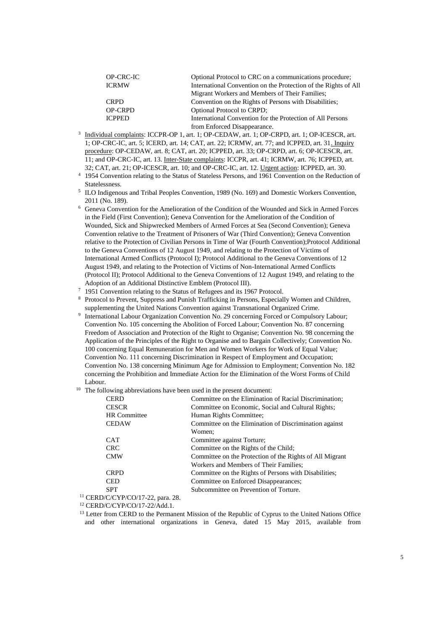| <b>OP-CRC-IC</b> | Optional Protocol to CRC on a communications procedure;         |
|------------------|-----------------------------------------------------------------|
| <b>ICRMW</b>     | International Convention on the Protection of the Rights of All |
|                  | Migrant Workers and Members of Their Families;                  |
| <b>CRPD</b>      | Convention on the Rights of Persons with Disabilities;          |
| <b>OP-CRPD</b>   | <b>Optional Protocol to CRPD;</b>                               |
| <b>ICPPED</b>    | International Convention for the Protection of All Persons      |
|                  | from Enforced Disappearance.                                    |

- from Enforced Disappearance.<br><sup>3</sup> Individual complaints: ICCPR-OP 1, art. 1; OP-CEDAW, art. 1; OP-CRPD, art. 1; OP-ICESCR, art. 1; OP-CRC-IC, art. 5; ICERD, art. 14; CAT, art. 22; ICRMW, art. 77; and ICPPED, art. 31. Inquiry procedure: OP-CEDAW, art. 8; CAT, art. 20; ICPPED, art. 33; OP-CRPD, art. 6; OP-ICESCR, art. 11; and OP-CRC-IC, art. 13. Inter-State complaints: ICCPR, art. 41; ICRMW, art. 76; ICPPED, art. 32; CAT, art. 21; OP-ICESCR, art. 10; and OP-CRC-IC, art. 12. Urgent action: ICPPED, art. 30.
- <sup>4</sup> 1954 Convention relating to the Status of Stateless Persons, and 1961 Convention on the Reduction of Statelessness.
- <sup>5</sup> ILO Indigenous and Tribal Peoples Convention, 1989 (No. 169) and Domestic Workers Convention, 2011 (No. 189).
- <sup>6</sup> Geneva Convention for the Amelioration of the Condition of the Wounded and Sick in Armed Forces in the Field (First Convention); Geneva Convention for the Amelioration of the Condition of Wounded, Sick and Shipwrecked Members of Armed Forces at Sea (Second Convention); Geneva Convention relative to the Treatment of Prisoners of War (Third Convention); Geneva Convention relative to the Protection of Civilian Persons in Time of War (Fourth Convention);Protocol Additional to the Geneva Conventions of 12 August 1949, and relating to the Protection of Victims of International Armed Conflicts (Protocol I); Protocol Additional to the Geneva Conventions of 12 August 1949, and relating to the Protection of Victims of Non-International Armed Conflicts (Protocol II); Protocol Additional to the Geneva Conventions of 12 August 1949, and relating to the Adoption of an Additional Distinctive Emblem (Protocol III).
- <sup>7</sup> 1951 Convention relating to the Status of Refugees and its 1967 Protocol.
- <sup>8</sup> Protocol to Prevent, Suppress and Punish Trafficking in Persons, Especially Women and Children, supplementing the United Nations Convention against Transnational Organized Crime.
- <sup>9</sup> International Labour Organization Convention No. 29 concerning Forced or Compulsory Labour; Convention No. 105 concerning the Abolition of Forced Labour; Convention No. 87 concerning Freedom of Association and Protection of the Right to Organise; Convention No. 98 concerning the Application of the Principles of the Right to Organise and to Bargain Collectively; Convention No. 100 concerning Equal Remuneration for Men and Women Workers for Work of Equal Value; Convention No. 111 concerning Discrimination in Respect of Employment and Occupation; Convention No. 138 concerning Minimum Age for Admission to Employment; Convention No. 182 concerning the Prohibition and Immediate Action for the Elimination of the Worst Forms of Child Labour.
- <sup>10</sup> The following abbreviations have been used in the present document:

| <b>CERD</b>         | Committee on the Elimination of Racial Discrimination;   |
|---------------------|----------------------------------------------------------|
| <b>CESCR</b>        | Committee on Economic, Social and Cultural Rights;       |
| <b>HR</b> Committee | Human Rights Committee;                                  |
| <b>CEDAW</b>        | Committee on the Elimination of Discrimination against   |
|                     | Women:                                                   |
| <b>CAT</b>          | Committee against Torture;                               |
| <b>CRC</b>          | Committee on the Rights of the Child;                    |
| <b>CMW</b>          | Committee on the Protection of the Rights of All Migrant |
|                     | Workers and Members of Their Families:                   |
| <b>CRPD</b>         | Committee on the Rights of Persons with Disabilities;    |
| <b>CED</b>          | Committee on Enforced Disappearances;                    |
| <b>SPT</b>          | Subcommittee on Prevention of Torture.                   |
|                     |                                                          |

<sup>11</sup> CERD/C/CYP/CO/17-22, para. 28.

<sup>12</sup> CERD/C/CYP/CO/17-22/Add.1.

<sup>&</sup>lt;sup>13</sup> Letter from CERD to the Permanent Mission of the Republic of Cyprus to the United Nations Office and other international organizations in Geneva, dated 15 May 2015, available from